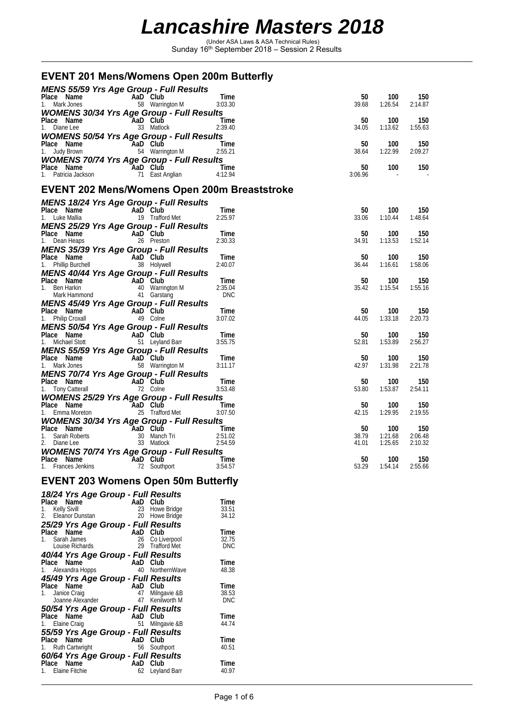(Under ASA Laws & ASA Technical Rules) Sunday 16th September 2018 – Session 2 Results

### **EVENT 201 Mens/Womens Open 200m Butterfly**

| MENS 55/59 Yrs Age Group - Full Results                                                                                                                                                                                                                      |                                    |                 |                |                    |                    |
|--------------------------------------------------------------------------------------------------------------------------------------------------------------------------------------------------------------------------------------------------------------|------------------------------------|-----------------|----------------|--------------------|--------------------|
| <b>Place Name</b><br>1. Mark Jones <b>Camera Contract Control AD CONS</b><br>58 Warrington M                                                                                                                                                                 | AaD Club                           | Time<br>3:03.30 | 50<br>39.68    | 100<br>1:26.54     | 150<br>2:14.87     |
| <b>WOMENS 30/34 Yrs Age Group - Full Results</b>                                                                                                                                                                                                             |                                    |                 |                |                    |                    |
| Place Name AaD Club<br>1. Diane Lee 33 Matlock 2:39.40                                                                                                                                                                                                       |                                    |                 | 50             | 100                | 150                |
|                                                                                                                                                                                                                                                              |                                    |                 | 34.05          | 1:13.62            | 1:55.63            |
| <b>WOMENS 50/54 Yrs Age Group - Full Results</b>                                                                                                                                                                                                             |                                    |                 |                |                    |                    |
| Place Name <b>AaD Club</b> Time<br>1. Judy Brown 54 Warrington M 2:55.21                                                                                                                                                                                     |                                    |                 | 50<br>38.64    | 100<br>1:22.99     | 150<br>2:09.27     |
| <b>WOMENS 70/74 Yrs Age Group - Full Results</b>                                                                                                                                                                                                             |                                    |                 |                |                    |                    |
| Place Name                                                                                                                                                                                                                                                   | Time<br>11 East Anglian 11.12.94   |                 | 50             | 100                | 150                |
| 1. Patricia Jackson                                                                                                                                                                                                                                          |                                    |                 | 3:06.96        |                    |                    |
| EVENT 202 Mens/Womens Open 200m Breaststroke                                                                                                                                                                                                                 |                                    |                 |                |                    |                    |
| <b>MENS 18/24 Yrs Age Group - Full Results</b>                                                                                                                                                                                                               |                                    |                 |                |                    |                    |
|                                                                                                                                                                                                                                                              | AaD Club                           | Time            | 50             | 100                | 150                |
| <b>Place Name</b><br>1. Luke Mallia                                                                                                                                                                                                                          | <b>AaD</b> Club<br>19 Trafford Met | 2:25.97         | 33.06          | 1:10.44            | 1:48.64            |
| MENS 25/29 Yrs Age Group - Full Results                                                                                                                                                                                                                      |                                    |                 |                |                    |                    |
| Place Name<br>1. Dean Heaps<br>26 Presto                                                                                                                                                                                                                     | 26 Preston                         | Time<br>2:30.33 | 50<br>34.91    | 100<br>1:13.53     | 150<br>1:52.14     |
| <b>MENS 35/39 Yrs Age Group - Full Results</b>                                                                                                                                                                                                               |                                    |                 |                |                    |                    |
|                                                                                                                                                                                                                                                              |                                    | Time            | 50             | 100                | 150                |
| <b>Place Name Capacity AaD Club</b><br>1. Phillip Burchell 38 Holywell                                                                                                                                                                                       |                                    | 2:40.07         | 36.44          | 1:16.61            | 1:58.06            |
| MENS 40/44 Yrs Age Group - Full Results                                                                                                                                                                                                                      |                                    |                 |                |                    |                    |
|                                                                                                                                                                                                                                                              |                                    | Time<br>2:35.04 | 50<br>35.42    | 100<br>1:15.54     | 150<br>1:55.16     |
| Place Name<br>1. Ben Harkin<br>Mark Hammond<br>1. Garstang<br>1. Garstang<br>1. Garstang                                                                                                                                                                     |                                    | <b>DNC</b>      |                |                    |                    |
| <b>MENS 45/49 Yrs Age Group - Full Results</b>                                                                                                                                                                                                               |                                    |                 |                |                    |                    |
| Place Name<br>1. Philip Croxall<br>1. Philip Croxall<br>1. Philip Croxall                                                                                                                                                                                    |                                    | Time<br>3:07.02 | 50<br>44.05    | 100<br>1:33.18     | 150<br>2:20.73     |
| <b>MENS 50/54 Yrs Age Group - Full Results</b>                                                                                                                                                                                                               |                                    |                 |                |                    |                    |
|                                                                                                                                                                                                                                                              |                                    | Time            | 50             | 100                | 150                |
| <b>Place Name</b><br>1. Michael Stott <b>Capacity 1.</b> Michael Stott 51 Leyland Barr                                                                                                                                                                       |                                    | 3:55.75         | 52.81          | 1:53.89            | 2:56.27            |
| <b>MENS 55/59 Yrs Age Group - Full Results</b>                                                                                                                                                                                                               |                                    |                 |                |                    |                    |
| Place Name<br>1. Mark Jones<br>1. Mark Jones<br>1. Mark Jones<br>1. Mark Jones<br>2. Mark Jones<br>2. Mark Jones<br>2. Mark Jones<br>2. Mark Jones<br>2. Mark Jones<br>2. Mark Jones<br>2. Mark Jones<br>2. Mark Jones<br>2. Mark Jones<br>2. Mark Jones<br> |                                    | Time<br>3:11.17 | 50<br>42.97    | 100<br>1:31.98     | 150<br>2:21.78     |
| <b>MENS 70/74 Yrs Age Group - Full Results</b>                                                                                                                                                                                                               |                                    |                 |                |                    |                    |
| Place Name<br>1. Tony Catterall 72 Colne                                                                                                                                                                                                                     |                                    | Time            | 50             | 100                | 150                |
|                                                                                                                                                                                                                                                              |                                    | 3:53.48         | 53.80          | 1:53.87            | 2:54.11            |
| <b>WOMENS 25/29 Yrs Age Group - Full Results<br/>Place Name AaD Club<br/>1. Emma Moreton 25 Trafford Met 3:07</b>                                                                                                                                            |                                    | Time            | 50             | 100                | 150                |
|                                                                                                                                                                                                                                                              |                                    | 3:07.50         | 42.15          | 1:29.95            | 2:19.55            |
| <b>WOMENS 30/34 Yrs Age Group - Full Results</b>                                                                                                                                                                                                             |                                    |                 |                |                    |                    |
|                                                                                                                                                                                                                                                              |                                    |                 | 50             | 100                | 150                |
| Place Name<br>1. Sarah Roberts<br>2. Diane Lee 33 Matlock<br>2.51.02<br>2. Diane Lee 33 Matlock<br>2.54.59                                                                                                                                                   |                                    |                 | 38.79<br>41.01 | 1:21.68<br>1:25.65 | 2:06.48<br>2:10.32 |
| <b>WOMENS 70/74 Yrs Age Group - Full Results</b>                                                                                                                                                                                                             |                                    |                 |                |                    |                    |
| Place Name<br>1. Frances Jenkins<br>22 Southport                                                                                                                                                                                                             |                                    | Time            | 50             | 100                | 150                |
|                                                                                                                                                                                                                                                              |                                    | 3:54.57         | 53.29          | 1:54.14            | 2:55.66            |
| <b>EVENT 203 Womens Open 50m Butterfly</b>                                                                                                                                                                                                                   |                                    |                 |                |                    |                    |
|                                                                                                                                                                                                                                                              |                                    |                 |                |                    |                    |
| 18/24 Yrs Age Group - Full Results                                                                                                                                                                                                                           |                                    | $T! \sim 1$     |                |                    |                    |

| 18/24 Yrs Age Group - Full Results               |     |                     |            |
|--------------------------------------------------|-----|---------------------|------------|
| Place Name                                       | AaD | Club                | Time       |
| <b>Kelly Sivill</b><br>1.                        | 23  | Howe Bridge         | 33.51      |
| 2. Eleanor Dunstan                               | 20  | Howe Bridge         | 34.12      |
| 25/29 Yrs Age Group - Full Results               |     |                     |            |
| Name<br>Place                                    | AaD | Club                | Time       |
| Sarah James                                      | 26  | Co Liverpool        | 32.75      |
| Louise Richards                                  | 29  | <b>Trafford Met</b> | <b>DNC</b> |
|                                                  |     |                     |            |
| 40/44 Yrs Age Group - Full Results<br>Place Name |     | AaD Club            | Time       |
|                                                  | 40  |                     |            |
| 1. Alexandra Hopps                               |     | NorthernWave        | 48.38      |
| 45/49 Yrs Age Group - Full Results               |     |                     |            |
| Place Name                                       | AaD | Club                | Time       |
| Janice Craig<br>1.                               | 47  | Milngavie &B        | 38.53      |
| Joanne Alexander                                 | 47  | Kenilworth M        | <b>DNC</b> |
| 50/54 Yrs Age Group - Full Results               |     |                     |            |
| Place Name                                       |     | AaD Club            | Time       |
| Elaine Craig<br>1.                               | 51  | Milngavie &B        | 44.74      |
| 55/59 Yrs Age Group - Full Results               |     |                     |            |
| Name<br>Place                                    | AaD | Club                | Time       |
| Ruth Cartwright                                  | 56  | Southport           | 40.51      |
|                                                  |     |                     |            |
| 60/64 Yrs Age Group - Full Results               |     |                     |            |
| Name<br>Place                                    | AaD | Club                | Time       |
| Elaine Fitchie                                   | 62  | Leyland Barr        | 40.97      |
|                                                  |     |                     |            |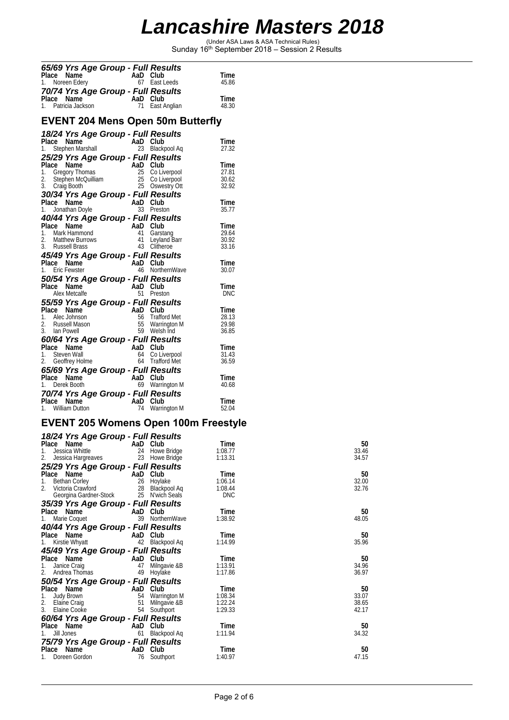(Under ASA Laws & ASA Technical Rules) Sunday 16th September 2018 – Session 2 Results

|       | 65/69 Yrs Age Group - Full Results               |          |                                          |                |
|-------|--------------------------------------------------|----------|------------------------------------------|----------------|
| Place | Name                                             | AaD Club |                                          | Time           |
| 1.    | Noreen Edery                                     |          | 67 East Leeds                            | 45.86          |
|       | 70/74 Yrs Age Group - Full Results               |          |                                          |                |
|       | Place Name                                       | AaD Club |                                          | Time           |
|       | 1. Patricia Jackson                              | 71       | East Anglian                             | 48.30          |
|       |                                                  |          |                                          |                |
|       |                                                  |          | <b>EVENT 204 Mens Open 50m Butterfly</b> |                |
|       | 18/24 Yrs Age Group - Full Results               |          |                                          |                |
|       | Place Name                                       | AaD Club |                                          | Time           |
| 1.    | Stephen Marshall                                 |          | 23 Blackpool Aq                          | 27.32          |
|       | 25/29 Yrs Age Group - Full Results               |          |                                          |                |
|       | Place Name                                       | AaD Club |                                          | Time           |
|       | 1. Gregory Thomas                                | 25       | Co Liverpool                             | 27.81          |
| 2.    | Stephen McQuilliam                               | 25       | Co Liverpool                             | 30.62          |
|       | 3. Craig Booth                                   |          | 25 Oswestry Ott                          | 32.92          |
|       | 30/34 Yrs Age Group - Full Results               |          |                                          |                |
|       | Place Name                                       | AaD Club |                                          | Time           |
|       | 1. Jonathan Doyle                                |          | 33 Preston                               | 35.77          |
|       | 40/44 Yrs Age Group - Full Results               |          |                                          |                |
| Place | Name                                             | AaD      | Club                                     | Time           |
|       | 1. Mark Hammond<br>2. Matthew Burrows            | 41<br>41 | Garstang<br>Leyland Barr                 | 29.64<br>30.92 |
|       | 3. Russell Brass                                 | 43       | Clitheroe                                | 33.16          |
|       | 45/49 Yrs Age Group - Full Results               |          |                                          |                |
|       | Place Name                                       | AaD Club |                                          | Time           |
|       | 1. Eric Fewster                                  | 46       | NorthernWave                             | 30.07          |
|       |                                                  |          |                                          |                |
| Place | 50/54 Yrs Age Group - Full Results<br>Name       | AaD Club |                                          | Time           |
|       | Alex Metcalfe                                    |          | 51 Preston                               | DNC            |
|       |                                                  |          |                                          |                |
|       | 55/59 Yrs Age Group - Full Results<br>Place Name | AaD      | Club                                     |                |
|       | 1. Alec Johnson                                  |          | 56 Trafford Met                          | Time<br>28.13  |
|       | 2. Russell Mason                                 |          | 55 Warrington M                          | 29.98          |
| 3.    | lan Powell                                       |          | 59 Welsh Ind                             | 36.85          |
|       | 60/64 Yrs Age Group - Full Results               |          |                                          |                |
|       | Place Name                                       | AaD Club |                                          | Time           |
| 1.    | Steven Wall                                      | 64       | Co Liverpool                             | 31.43          |
|       | 2. Geoffrey Holme                                |          | 64 Trafford Met                          | 36.59          |
|       | 65/69 Yrs Age Group - Full Results               |          |                                          |                |
|       | Place Name                                       | AaD Club |                                          | Time           |
|       | 1. Derek Booth                                   |          | 69 Warrington M                          | 40.68          |
|       | 70/74 Yrs Age Group - Full Results               |          |                                          |                |
|       | Place Name                                       | AaD Club |                                          | Time           |
|       | 1. William Dutton                                | 74       | Warrington M                             | 52.04          |
|       |                                                  |          |                                          |                |

### **EVENT 205 Womens Open 100m Freestyle**

| 18/24 Yrs Age Group - Full Results             |     |                 |            |       |
|------------------------------------------------|-----|-----------------|------------|-------|
| Place Name                                     |     | AaD Club        | Time       | 50    |
| Jessica Whittle<br>1.                          |     | 24 Howe Bridge  | 1:08.77    | 33.46 |
| Jessica Hargreaves                             | 23  | Howe Bridge     | 1:13.31    | 34.57 |
| 25/29 Yrs Age Group - Full Results             |     |                 |            |       |
| Place Name                                     |     | AaD Club        | Time       | 50    |
| 1.<br>Bethan Corley                            |     | 26 Hoylake      | 1:06.14    | 32.00 |
| $\overline{2}$ .<br>Victoria Crawford Nictoria |     | 28 Blackpool Aq | 1:08.44    | 32.76 |
| Georgina Gardner-Stock                         |     | 25 N'wich Seals | <b>DNC</b> |       |
| 35/39 Yrs Age Group - Full Results             |     |                 |            |       |
| Place Name                                     |     | AaD Club        | Time       | 50    |
| Marie Coquet                                   | 39  | NorthernWave    | 1:38.92    | 48.05 |
| 40/44 Yrs Age Group - Full Results             |     |                 |            |       |
| Place Name                                     |     | AaD Club        | Time       | 50    |
| Kirstie Whyatt                                 | 42  | Blackpool Aq    | 1:14.99    | 35.96 |
| 45/49 Yrs Age Group - Full Results             |     |                 |            |       |
| Place Name                                     | AaD | Club            | Time       | 50    |
| Janice Craig<br>1.                             | 47  | Milngavie &B    | 1:13.91    | 34.96 |
| 2.<br>Andrea Thomas                            | 49  | Hoylake         | 1:17.86    | 36.97 |
| 50/54 Yrs Age Group - Full Results             |     |                 |            |       |
| Place Name                                     |     | AaD Club        | Time       | 50    |
| 1.<br>Judy Brown                               |     | 54 Warrington M | 1:08.34    | 33.07 |
| 2.<br>Elaine Craig                             | 51  | Milngavie &B    | 1:22.24    | 38.65 |
| 3.<br>Elaine Cooke                             | 54  | Southport       | 1:29.33    | 42.17 |
| 60/64 Yrs Age Group - Full Results             |     |                 |            |       |
| Place Name                                     | AaD | Club            | Time       | 50    |
| Jill Jones<br>1.                               | 61  | Blackpool Aq    | 1:11.94    | 34.32 |
| 75/79 Yrs Age Group - Full Results             |     |                 |            |       |
| Name<br>Place                                  | AaD | Club            | Time       | 50    |
| Doreen Gordon                                  | 76  | Southport       | 1:40.97    | 47.15 |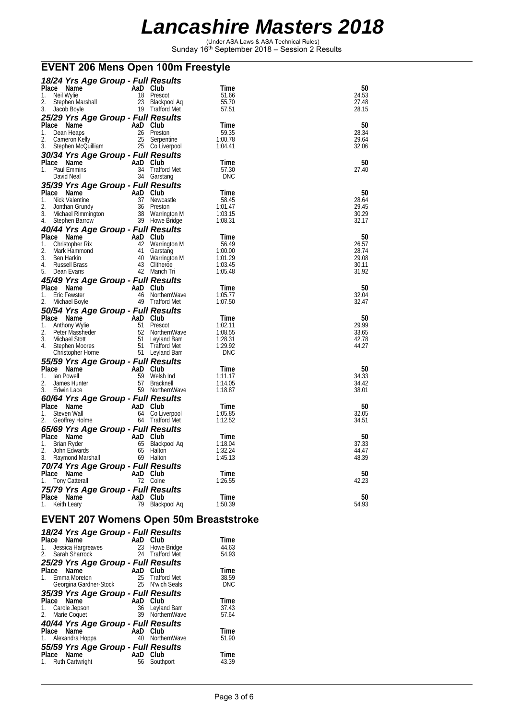(Under ASA Laws & ASA Technical Rules) Sunday 16th September 2018 – Session 2 Results

#### **EVENT 206 Mens Open 100m Freestyle**

|          | 18/24 Yrs Age Group - Full Results |           |                      |                    |                |
|----------|------------------------------------|-----------|----------------------|--------------------|----------------|
|          | Place Name                         | AaD Club  |                      | Time               | 50             |
| 1.       | Neil Wylie                         | 18        | Prescot              | 51.66              | 24.53          |
| 2.       | Stephen Marshall                   |           | 23 Blackpool Aq      | 55.70              | 27.48          |
| 3.       | Jacob Boyle                        |           | 19 Trafford Met      | 57.51              | 28.15          |
|          | 25/29 Yrs Age Group - Full Results |           |                      |                    |                |
|          | Place Name                         | AaD Club  |                      | Time               | 50             |
| 1.       | Dean Heaps                         |           | 26 Preston           | 59.35              | 28.34          |
| 2.       | Cameron Kelly                      | 25        | Serpentine           | 1:00.78            | 29.64          |
| 3.       | Stephen McQuilliam                 |           | 25 Co Liverpool      | 1:04.41            | 32.06          |
|          | 30/34 Yrs Age Group - Full Results |           |                      |                    |                |
|          | Place Name                         | AaD Club  |                      | 1 ime              | 50             |
| 1.       | Paul Emmins                        | 34        | Trafford Met         | 57.30              | 27.40          |
|          | David Neal                         |           | 34 Garstang          | DNC                |                |
|          |                                    |           |                      |                    |                |
|          | 35/39 Yrs Age Group - Full Results | AaD Club  |                      |                    | 50             |
|          | Place Name                         |           |                      | Time               |                |
| 1.       | Nick Valentine                     | 37        | Newcastle            | 58.45              | 28.64          |
| 2.<br>3. | Jonthan Grundy                     | 36        | Preston              | 1:01.47            | 29.45<br>30.29 |
| 4.       | Michael Rimmington                 |           | 38 Warrington M      | 1:03.15<br>1:08.31 | 32.17          |
|          | Stephen Barrow                     |           | 39 Howe Bridge       |                    |                |
|          | 40/44 Yrs Age Group - Full Results |           |                      |                    |                |
|          | Place Name                         | AaD Club  |                      | Time               | 50             |
| 1.       | Christopher Rix                    | 42        | Warrington M         | 56.49              | 26.57          |
| 2.       | Mark Hammond                       | 41        | Garstang             | 1:00.00            | 28.74          |
| 3.       | Ben Harkin                         | 40        | Warrington M         | 1:01.29            | 29.08          |
| 4.       | Russell Brass                      | 43        | Clitheroe            | 1:03.45            | 30.11          |
| 5.       | Dean Evans                         |           | 42 Manch Tri         | 1:05.48            | 31.92          |
|          | 45/49 Yrs Age Group - Full Results |           |                      |                    |                |
|          | Place Name                         | AaD Club  |                      | Time               | 50             |
| 1.       | Eric Fewster                       |           | 46 NorthernWave      | 1:05.77            | 32.04          |
|          |                                    |           |                      |                    |                |
| 2.       | Michael Boyle                      |           | 49 Trafford Met      | 1:07.50            | 32.47          |
|          |                                    |           |                      |                    |                |
|          | 50/54 Yrs Age Group - Full Results | AaD       | Club                 | Time               | 50             |
| 1.       | Place Name<br>Anthony Wylie        | 51        | Prescot              | 1:02.11            | 29.99          |
| 2.       | Peter Massheder                    | 52        | NorthernWave         | 1:08.55            | 33.65          |
| 3.       | Michael Stott                      | 51        | Leyland Barr         | 1:28.31            | 42.78          |
| 4.       | Stephen Moores                     | 51        | Trafford Met         | 1:29.92            | 44.27          |
|          | Christopher Horne                  |           | 51 Leyland Barr      | DNC                |                |
|          |                                    |           |                      |                    |                |
|          | 55/59 Yrs Age Group - Full Results |           |                      |                    |                |
| 1.       | Place Name<br>lan Powell           | AaD<br>59 | Club<br>Welsh Ind    | Time<br>1:11.17    | 50<br>34.33    |
| 2.       | James Hunter                       |           | 57 Bracknell         | 1:14.05            | 34.42          |
| 3.       | Edwin Lace                         |           | 59 NorthernWave      | 1:18.87            | 38.01          |
|          |                                    |           |                      |                    |                |
|          | 60/64 Yrs Age Group - Full Results |           |                      |                    |                |
|          | Place Name                         | AaD Club  |                      | 1 ime              | 50             |
| 1.       | Steven Wall                        | 64        | Co Liverpool         | 1:05.85            | 32.05          |
| 2.       | Geoffrey Holme                     | 64        | Trafford Met         | 1:12.52            | 34.51          |
|          | 65/69 Yrs Age Group - Full Results |           |                      |                    |                |
|          | Place Name                         | AaD Club  |                      | -lime              | 50             |
| 1.       | Brian Ryder                        | 65        | Blackpool Aq         | 1:18.04            | 37.33          |
| 2.       | John Edwards                       | 65        | Halton               | 1:32.24            | 44.47          |
| 3.       | Raymond Marshall                   |           | 69 Halton            | 1:45.13            | 48.39          |
|          | 70/74 Yrs Age Group - Full Results |           |                      |                    |                |
|          | Place Name                         | AaD Club  |                      | Time               | 50             |
| 1.       | <b>Tony Catterall</b>              |           | 72 Colne             | 1:26.55            | 42.23          |
|          | 75/79 Yrs Age Group - Full Results |           |                      |                    |                |
| 1.       | Place Name<br>Keith Leary          | AaD<br>79 | Club<br>Blackpool Aq | 1 ime<br>1:50.39   | 50<br>54.93    |

#### **EVENT 207 Womens Open 50m Breaststroke**

| 18/24 Yrs Age Group - Full Results |     |                     |            |
|------------------------------------|-----|---------------------|------------|
| Place Name                         |     | AaD Club            | Time       |
| Jessica Hargreaves<br>1.           | 23  | Howe Bridge         | 44.63      |
| Sarah Sharrock<br>2.               | 24  | <b>Trafford Met</b> | 54.93      |
| 25/29 Yrs Age Group - Full Results |     |                     |            |
| Place Name                         | AaD | Club                | Time       |
| 1. Emma Moreton                    | 25  | <b>Trafford Met</b> | 38.59      |
| Georgina Gardner-Stock             | 25  | N'wich Seals        | <b>DNC</b> |
| 35/39 Yrs Age Group - Full Results |     |                     |            |
| Place Name                         | AaD | Club                | Time       |
| Carole Jepson<br>1.                | 36  | Leyland Barr        | 37.43      |
| 2. Marie Coquet                    | 39  | NorthernWave        | 57.64      |
| 40/44 Yrs Age Group - Full Results |     |                     |            |
| Place Name                         | AaD | Club                | Time       |
| 1. Alexandra Hopps                 | 40  | NorthernWave        | 51.90      |
| 55/59 Yrs Age Group - Full Results |     |                     |            |
| Place Name                         | AaD | Club                | Time       |
| <b>Ruth Cartwright</b><br>1.       | 56  | Southport           | 43.39      |
|                                    |     |                     |            |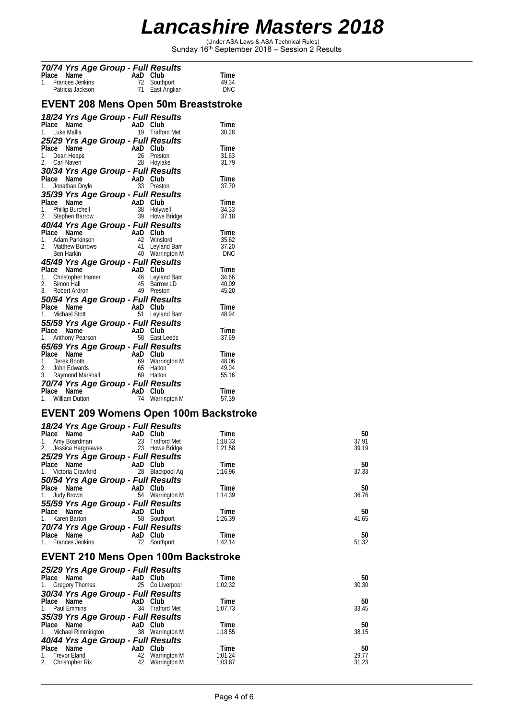(Under ASA Laws & ASA Technical Rules) Sunday 16th September 2018 – Session 2 Results

|             | 70/74 Yrs Age Group - Full Results               |         |                |                                |                                             |                |
|-------------|--------------------------------------------------|---------|----------------|--------------------------------|---------------------------------------------|----------------|
| Place       | Name                                             |         | AaD            | Club                           |                                             | Time           |
| 1.          | <b>Frances Jenkins</b>                           |         | 72<br>71       | Southport                      |                                             | 49.34          |
|             | Patricia Jackson                                 |         |                | East Anglian                   |                                             | <b>DNC</b>     |
|             |                                                  |         |                |                                | <b>EVENT 208 Mens Open 50m Breaststroke</b> |                |
|             | 18/24 Yrs Age Group - Full Results               |         |                |                                |                                             |                |
|             | Place Name                                       |         | AaD Club       |                                |                                             | Time           |
|             | 1. Luke Mallia                                   |         | 19             | <b>Trafford Met</b>            |                                             | 30.28          |
|             | 25/29 Yrs Age Group - Full Results               |         |                |                                |                                             |                |
|             | Place Name                                       |         | AaD<br>26      | Club                           |                                             | Time           |
| 1.<br>2.    | Dean Heaps<br>Carl Naven                         |         | 28             | Preston<br>Hoylake             |                                             | 31.63<br>31.79 |
|             | 30/34 Yrs Age Group - Full Results               |         |                |                                |                                             |                |
|             | Place Name                                       |         | AaD Club       |                                |                                             | Time           |
| 1.          | Jonathan Doyle                                   |         | 33             | Preston                        |                                             | 37.70          |
|             | 35/39 Yrs Age Group - Full Results               |         |                |                                |                                             |                |
|             | Place Name                                       |         | AaD            | Club                           |                                             | Time           |
| 1.          | <b>Phillip Burchell</b>                          |         | 38             | Holywell                       |                                             | 34.33          |
| 2.          | Stephen Barrow                                   |         | 39             | Howe Bridge                    |                                             | 37.18          |
|             | 40/44 Yrs Age Group - Full Results               |         |                |                                |                                             |                |
| Place<br>1. | Name<br>Adam Parkinson                           |         | AaD Club<br>42 | Winsford                       |                                             | Time<br>35.62  |
| 2.          | Matthew Burrows                                  |         | 41             | Leyland Barr                   |                                             | 37.20          |
|             | <b>Ben Harkin</b>                                |         |                | 40 Warrington M                |                                             | DNC            |
|             | 45/49 Yrs Age Group - Full Results               |         |                |                                |                                             |                |
|             | Place Name                                       | na<br>S | AaD Club       |                                |                                             | Time           |
| $1_{-}$     | Christopher Hamer                                |         | 46             | Leyland Barr                   |                                             | 34.66          |
| 2.          | Simon Hall<br>3. Robert Ardron                   |         | 45             | <b>Barrow LD</b><br>49 Preston |                                             | 40.09<br>45.20 |
|             |                                                  |         |                |                                |                                             |                |
|             | 50/54 Yrs Age Group - Full Results<br>Place Name |         | AaD Club       |                                |                                             | Time           |
| 1.          | <b>Michael Stott</b>                             |         | 51             | Leyland Barr                   |                                             | 48.94          |
|             | 55/59 Yrs Age Group - Full Results               |         |                |                                |                                             |                |
|             | Place Name                                       |         | AaD Club       |                                |                                             | Time           |
| 1.          | Anthony Pearson                                  |         | 58             | East Leeds                     |                                             | 37.69          |
|             | 65/69 Yrs Age Group - Full Results               |         |                |                                |                                             |                |
| Place       | Name                                             |         | AaD            | Club                           |                                             | Time           |
|             | 1. Derek Booth                                   |         | 69             | Warrington M                   |                                             | 48.06          |
| 2.          | John Edwards<br>3. Raymond Marshall              |         | 65             | <b>Halton</b><br>69 Halton     |                                             | 49.04<br>55.16 |
|             |                                                  |         |                |                                |                                             |                |
| Place       | 70/74 Yrs Age Group - Full Results<br>Name       |         | AaD            | Club                           |                                             | Time           |
| 1.          | William Dutton                                   |         | 74             | Warrington M                   |                                             | 57.39          |

#### **EVENT 209 Womens Open 100m Backstroke**

| 18/24 Yrs Age Group - Full Results   |                 |         |       |
|--------------------------------------|-----------------|---------|-------|
| Place Name                           | and Club Club   | Time    | 50    |
| 1. Amy Boardman                      | 23 Trafford Met | 1:18.33 | 37.91 |
| 2. Jessica Hargreaves 23 Howe Bridge |                 | 1:21.58 | 39.19 |
| 25/29 Yrs Age Group - Full Results   |                 |         |       |
| Place Name                           | AaD Club        | Time    | 50    |
| 1. Victoria Crawford                 | 28 Blackpool Ag | 1:16.96 | 37.33 |
| 50/54 Yrs Age Group - Full Results   |                 |         |       |
| Place Name                           | AaD Club        | Time    | 50    |
| 1. Judy Brown                        | 54 Warrington M | 1:14.39 | 36.76 |
| 55/59 Yrs Age Group - Full Results   |                 |         |       |
| Place Name                           | AaD Club        | Time    | 50    |
| 1. Karen Barton                      | 58<br>Southport | 1:26.39 | 41.65 |
| 70/74 Yrs Age Group - Full Results   |                 |         |       |
| Place Name                           | AaD Club        | Time    | 50    |
| 1. Frances Jenkins                   | 72<br>Southport | 1:42.14 | 51.32 |
|                                      |                 |         |       |

#### **EVENT 210 Mens Open 100m Backstroke**

| 50<br>Time       |
|------------------|
| 1:02.32<br>30.30 |
|                  |
| 50<br>Time       |
| 33.45<br>1:07.73 |
|                  |
| 50<br>Time       |
| 38.15<br>1:18.55 |
|                  |
| 50<br>Time       |
| 29.77<br>1:01.24 |
| 31.23<br>1:03.87 |
|                  |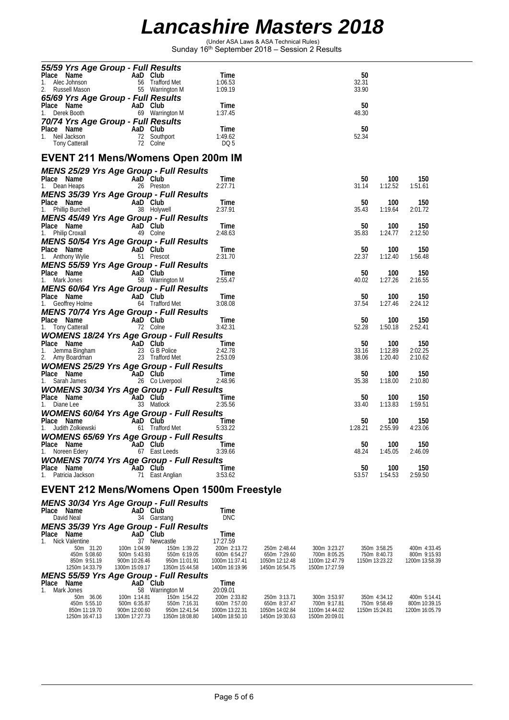(Under ASA Laws & ASA Technical Rules) Sunday 16th September 2018 – Session 2 Results

| 55/59 Yrs Age Group - Full Results                                                                       |                               |                               |                                            |                                |                                |                |                                |                                |
|----------------------------------------------------------------------------------------------------------|-------------------------------|-------------------------------|--------------------------------------------|--------------------------------|--------------------------------|----------------|--------------------------------|--------------------------------|
| Place Name<br>1. Alec Johnson<br>2. Russell Mason<br>2. Russell Mason<br>55 Warrin                       |                               | 56 Trafford Met               | Time<br>1:06.53                            |                                |                                | 50<br>32.31    |                                |                                |
|                                                                                                          |                               | 55 Warrington M               | 1:09.19                                    |                                |                                | 33.90          |                                |                                |
| 65/69 Yrs Age Group - Full Results<br>Place Name                                                         |                               |                               | Time                                       |                                |                                | 50             |                                |                                |
| 1.<br>Derek Booth                                                                                        | AaD Club<br>69 Warrin         | 69 Warrington M               | 1:37.45                                    |                                |                                | 48.30          |                                |                                |
| 70/74 Yrs Age Group - Full Results                                                                       |                               |                               | Time                                       |                                |                                | 50             |                                |                                |
| Place Name<br>1. Neil Jackson 12 South<br>Tony Catteral<br>12 Colne                                      |                               | 72 Southport                  | 1:49.62                                    |                                |                                | 52.34          |                                |                                |
|                                                                                                          |                               |                               | DQ 5                                       |                                |                                |                |                                |                                |
| <b>EVENT 211 Mens/Womens Open 200m IM</b>                                                                |                               |                               |                                            |                                |                                |                |                                |                                |
| <b>MENS 25/29 Yrs Age Group - Full Results</b>                                                           |                               |                               |                                            |                                |                                |                |                                |                                |
| Place Name                                                                                               | AaD Club                      |                               | Time                                       |                                |                                | 50             | 100                            | 150                            |
| 1. Dean Heaps<br><b>MENS 35/39 Yrs Age Group - Full Results</b>                                          |                               | 26 Preston                    | 2:27.71                                    |                                |                                | 31.14          | 1:12.52                        | 1:51.61                        |
|                                                                                                          |                               |                               | Time                                       |                                |                                | 50             | 100                            | 150                            |
| Place Name<br>1. Phillip Burchell<br>1. Phillip Burchell<br>28 Holywell                                  |                               |                               | 2:37.91                                    |                                |                                | 35.43          | 1:19.64                        | 2:01.72                        |
| <b>MENS 45/49 Yrs Age Group - Full Results</b>                                                           |                               |                               |                                            |                                |                                |                |                                |                                |
| <b>Place Name</b><br>1. Philip Croxall <b>AaD</b> Club<br>49 Colne                                       |                               |                               | Time<br>2:48.63                            |                                |                                | 50<br>35.83    | 100<br>1:24.77                 | 150<br>2:12.50                 |
| MENS 50/54 Yrs Age Group - Full Results                                                                  |                               |                               |                                            |                                |                                |                |                                |                                |
| Place Name<br>1. Anthony Wylie                                                                           | AaD Club                      |                               | Time                                       |                                |                                | 50             | 100                            | 150                            |
| 1. Anthony Wylie<br><b>MENS 55/59 Yrs Age Group - Full Results</b>                                       |                               | 51 Prescot                    | 2:31.70                                    |                                |                                | 22.37          | 1:12.40                        | 1:56.48                        |
| Place Name                                                                                               |                               |                               | Time                                       |                                |                                | 50             | 100                            | 150                            |
| <b>Place Name</b><br>1. Mark Jones <b>Canadian Care 1.</b> Mark Jones 58 Warrington M                    |                               |                               | 2:55.47                                    |                                |                                | 40.02          | 1:27.26                        | 2:16.55                        |
| <b>MENS 60/64 Yrs Age Group - Full Results</b>                                                           |                               |                               | Time                                       |                                |                                | 50             | 100                            | 150                            |
| <b>Place Name</b><br>1. Geoffrey Holme<br>1. Geoffrey Holme<br>1. Geoffrey Holme                         |                               |                               | 3:08.08                                    |                                |                                | 37.54          | 1:27.46                        | 2:24.12                        |
| MENS 70/74 Yrs Age Group - Full Results                                                                  |                               |                               |                                            |                                |                                |                |                                |                                |
| Place Name<br>1. Tony Catterall 72 Colne                                                                 |                               |                               | Time<br>3:42.31                            |                                |                                | 50<br>52.28    | 100<br>1:50.18                 | 150<br>2:52.41                 |
| <b>WOMENS 18/24 Yrs Age Group - Full Results</b>                                                         |                               |                               |                                            |                                |                                |                |                                |                                |
|                                                                                                          |                               |                               | <b>Time</b>                                |                                |                                | 50             | 100                            | 150                            |
| <b>Place Name Capacity AaD Club</b><br>1. Jemma Bingham 23 G B Police<br>2. Amy Boardman 23 Trafford Met |                               |                               | 2:42.78<br>2:53.09                         |                                |                                | 33.16<br>38.06 | 1:12.89<br>1:20.40             | 2:02.25<br>2:10.62             |
| <b>WOMENS 25/29 Yrs Age Group - Full Results</b>                                                         |                               |                               |                                            |                                |                                |                |                                |                                |
| Place Name<br>1. Sarah James 26 Co Liverpool                                                             |                               |                               | <u>and the Time</u>                        |                                |                                | 50             | 100                            | 150                            |
|                                                                                                          |                               |                               | 2:48.96                                    |                                |                                | 35.38          | 1:18.00                        | 2:10.80                        |
| <b>WOMENS 30/34 Yrs Age Group - Full Results</b><br>Place Name                                           |                               |                               | Time                                       |                                |                                | 50             | 100                            | 150                            |
| 1. Diane Lee                                                                                             | AaD Club<br>33 Matloc         | 33 Matlock                    | 2:35.56                                    |                                |                                | 33.40          | 1:13.83                        | 1:59.51                        |
| <b>WOMENS 60/64 Yrs Age Group - Full Results</b>                                                         |                               |                               |                                            |                                |                                |                |                                |                                |
| Place Name<br>1. Judith Zolkiewski                                                                       | AaD Club                      | 61 Trafford Met               | Time<br>5:33.22                            |                                |                                | 50<br>1:28.21  | 100<br>2:55.99                 | 150<br>4:23.06                 |
| <b>WOMENS 65/69 Yrs Age Group - Full Results</b>                                                         |                               |                               |                                            |                                |                                |                |                                |                                |
| Place Name                                                                                               | <b>Example 2</b> AaD Club     |                               | Time                                       |                                |                                | 50             | 100                            | 150                            |
| 1. Noreen Edery                                                                                          |                               | 67 East Leeds                 | 3:39.66                                    |                                |                                | 48.24          | 1:45.05                        | 2:46.09                        |
| <b>WOMENS 70/74 Yrs Age Group - Full Results</b><br>Place Name                                           | AaD Club                      |                               | Time                                       |                                |                                | 50             | 100                            | 150                            |
| Patricia Jackson<br>1.                                                                                   |                               | 71 East Anglian               | 3:53.62                                    |                                |                                | 53.57          | 1:54.53                        | 2:59.50                        |
|                                                                                                          |                               |                               | EVENT 212 Mens/Womens Open 1500m Freestyle |                                |                                |                |                                |                                |
|                                                                                                          |                               |                               |                                            |                                |                                |                |                                |                                |
| <b>MENS 30/34 Yrs Age Group - Full Results</b><br>Place Name                                             | AaD Club                      |                               | Time                                       |                                |                                |                |                                |                                |
| David Neal                                                                                               |                               | 34 Garstang                   | <b>DNC</b>                                 |                                |                                |                |                                |                                |
| <b>MENS 35/39 Yrs Age Group - Full Results</b>                                                           |                               |                               |                                            |                                |                                |                |                                |                                |
| Place Name<br>1.<br>Nick Valentine                                                                       | AaD Club                      | 37 Newcastle                  | Time<br>17:27.59                           |                                |                                |                |                                |                                |
| 50m 31.20                                                                                                | 100m 1:04.99                  | 150m 1:39.22                  | 200m 2:13.72                               | 250m 2:48.44                   | 300m 3:23.27                   |                | 350m 3:58.25                   | 400m 4:33.45                   |
| 450m 5:08.60<br>850m 9:51.19                                                                             | 500m 5:43.93<br>900m 10:26.46 | 550m 6:19.05<br>950m 11:01.91 | 600m 6:54.27<br>1000m 11:37.41             | 650m 7:29.60<br>1050m 12:12.48 | 700m 8:05.25<br>1100m 12:47.79 |                | 750m 8:40.73<br>1150m 13:23.22 | 800m 9:15.93<br>1200m 13:58.39 |
| 1250m 14:33.79                                                                                           | 1300m 15:09.17                | 1350m 15:44.58                | 1400m 16:19.96                             | 1450m 16:54.75                 | 1500m 17:27.59                 |                |                                |                                |
| <b>MENS 55/59 Yrs Age Group - Full Results</b><br>Place<br>Name                                          | AaD Club                      |                               | Time                                       |                                |                                |                |                                |                                |
| Mark Jones<br>1.                                                                                         |                               | 58 Warrington M               | 20:09.01                                   |                                |                                |                |                                |                                |
| 50m 36.06<br>450m 5:55.10                                                                                | 100m 1:14.81<br>500m 6:35.87  | 150m 1:54.22<br>550m 7:16.31  | 200m 2:33.82<br>600m 7:57.00               | 250m 3:13.71<br>650m 8:37.47   | 300m 3:53.97<br>700m 9:17.81   |                | 350m 4:34.12<br>750m 9:58.49   | 400m 5:14.41<br>800m 10:39.15  |
| 850m 11:19.70                                                                                            | 900m 12:00.60                 | 950m 12:41.54                 | 1000m 13:22.31                             | 1050m 14:02.84                 | 1100m 14:44.02                 |                | 1150m 15:24.81                 | 1200m 16:05.79                 |
| 1250m 16:47.13                                                                                           | 1300m 17:27.73                | 1350m 18:08.80                | 1400m 18:50.10                             | 1450m 19:30.63                 | 1500m 20:09.01                 |                |                                |                                |